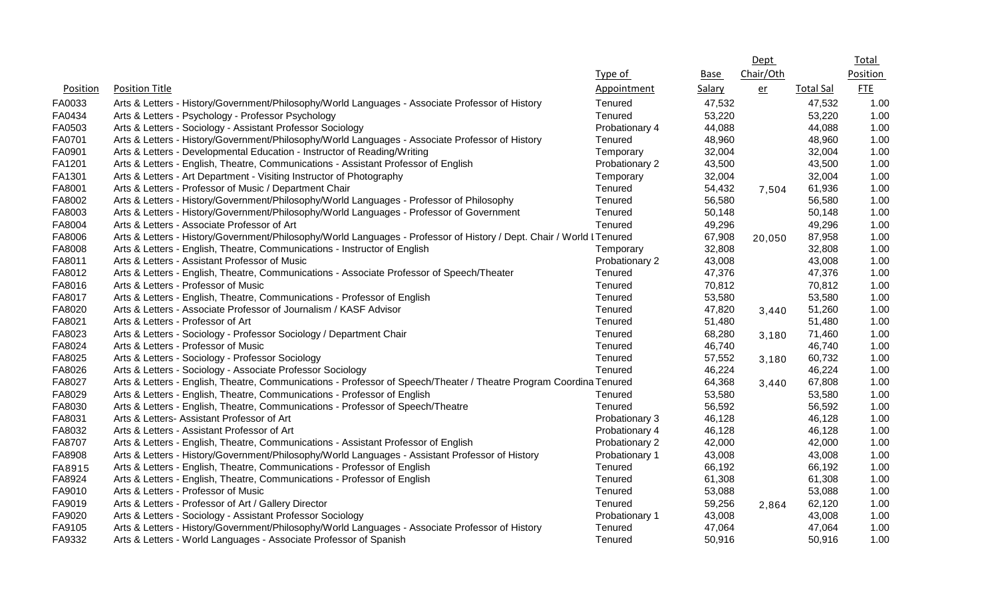|          |                                                                                                                       |                |        | <b>Dept</b> |                  | <u>Total</u> |
|----------|-----------------------------------------------------------------------------------------------------------------------|----------------|--------|-------------|------------------|--------------|
|          |                                                                                                                       | Type of        | Base   | Chair/Oth   |                  | Position     |
| Position | <b>Position Title</b>                                                                                                 | Appointment    | Salary | er          | <b>Total Sal</b> | <b>FTE</b>   |
| FA0033   | Arts & Letters - History/Government/Philosophy/World Languages - Associate Professor of History                       | Tenured        | 47,532 |             | 47,532           | 1.00         |
| FA0434   | Arts & Letters - Psychology - Professor Psychology                                                                    | Tenured        | 53,220 |             | 53,220           | 1.00         |
| FA0503   | Arts & Letters - Sociology - Assistant Professor Sociology                                                            | Probationary 4 | 44,088 |             | 44,088           | 1.00         |
| FA0701   | Arts & Letters - History/Government/Philosophy/World Languages - Associate Professor of History                       | Tenured        | 48,960 |             | 48,960           | 1.00         |
| FA0901   | Arts & Letters - Developmental Education - Instructor of Reading/Writing                                              | Temporary      | 32,004 |             | 32,004           | 1.00         |
| FA1201   | Arts & Letters - English, Theatre, Communications - Assistant Professor of English                                    | Probationary 2 | 43,500 |             | 43,500           | 1.00         |
| FA1301   | Arts & Letters - Art Department - Visiting Instructor of Photography                                                  | Temporary      | 32,004 |             | 32,004           | 1.00         |
| FA8001   | Arts & Letters - Professor of Music / Department Chair                                                                | Tenured        | 54,432 | 7,504       | 61,936           | 1.00         |
| FA8002   | Arts & Letters - History/Government/Philosophy/World Languages - Professor of Philosophy                              | Tenured        | 56,580 |             | 56,580           | 1.00         |
| FA8003   | Arts & Letters - History/Government/Philosophy/World Languages - Professor of Government                              | Tenured        | 50,148 |             | 50,148           | 1.00         |
| FA8004   | Arts & Letters - Associate Professor of Art                                                                           | Tenured        | 49,296 |             | 49,296           | 1.00         |
| FA8006   | Arts & Letters - History/Government/Philosophy/World Languages - Professor of History / Dept. Chair / World I Tenured |                | 67,908 | 20,050      | 87,958           | 1.00         |
| FA8008   | Arts & Letters - English, Theatre, Communications - Instructor of English                                             | Temporary      | 32,808 |             | 32,808           | 1.00         |
| FA8011   | Arts & Letters - Assistant Professor of Music                                                                         | Probationary 2 | 43,008 |             | 43,008           | 1.00         |
| FA8012   | Arts & Letters - English, Theatre, Communications - Associate Professor of Speech/Theater                             | Tenured        | 47,376 |             | 47,376           | 1.00         |
| FA8016   | Arts & Letters - Professor of Music                                                                                   | Tenured        | 70,812 |             | 70,812           | 1.00         |
| FA8017   | Arts & Letters - English, Theatre, Communications - Professor of English                                              | Tenured        | 53,580 |             | 53,580           | 1.00         |
| FA8020   | Arts & Letters - Associate Professor of Journalism / KASF Advisor                                                     | Tenured        | 47,820 | 3,440       | 51,260           | 1.00         |
| FA8021   | Arts & Letters - Professor of Art                                                                                     | Tenured        | 51,480 |             | 51,480           | 1.00         |
| FA8023   | Arts & Letters - Sociology - Professor Sociology / Department Chair                                                   | Tenured        | 68,280 | 3,180       | 71,460           | 1.00         |
| FA8024   | Arts & Letters - Professor of Music                                                                                   | Tenured        | 46,740 |             | 46,740           | 1.00         |
| FA8025   | Arts & Letters - Sociology - Professor Sociology                                                                      | Tenured        | 57,552 | 3,180       | 60,732           | 1.00         |
| FA8026   | Arts & Letters - Sociology - Associate Professor Sociology                                                            | Tenured        | 46,224 |             | 46,224           | 1.00         |
| FA8027   | Arts & Letters - English, Theatre, Communications - Professor of Speech/Theater / Theatre Program Coordina Tenured    |                | 64,368 | 3,440       | 67,808           | 1.00         |
| FA8029   | Arts & Letters - English, Theatre, Communications - Professor of English                                              | Tenured        | 53,580 |             | 53,580           | 1.00         |
| FA8030   | Arts & Letters - English, Theatre, Communications - Professor of Speech/Theatre                                       | Tenured        | 56,592 |             | 56,592           | 1.00         |
| FA8031   | Arts & Letters- Assistant Professor of Art                                                                            | Probationary 3 | 46,128 |             | 46,128           | 1.00         |
| FA8032   | Arts & Letters - Assistant Professor of Art                                                                           | Probationary 4 | 46,128 |             | 46,128           | 1.00         |
| FA8707   | Arts & Letters - English, Theatre, Communications - Assistant Professor of English                                    | Probationary 2 | 42,000 |             | 42,000           | 1.00         |
| FA8908   | Arts & Letters - History/Government/Philosophy/World Languages - Assistant Professor of History                       | Probationary 1 | 43,008 |             | 43,008           | 1.00         |
| FA8915   | Arts & Letters - English, Theatre, Communications - Professor of English                                              | Tenured        | 66,192 |             | 66,192           | 1.00         |
| FA8924   | Arts & Letters - English, Theatre, Communications - Professor of English                                              | Tenured        | 61,308 |             | 61,308           | 1.00         |
| FA9010   | Arts & Letters - Professor of Music                                                                                   | Tenured        | 53,088 |             | 53,088           | 1.00         |
| FA9019   | Arts & Letters - Professor of Art / Gallery Director                                                                  | Tenured        | 59,256 | 2,864       | 62,120           | 1.00         |
| FA9020   | Arts & Letters - Sociology - Assistant Professor Sociology                                                            | Probationary 1 | 43,008 |             | 43,008           | 1.00         |
| FA9105   | Arts & Letters - History/Government/Philosophy/World Languages - Associate Professor of History                       | Tenured        | 47,064 |             | 47,064           | 1.00         |
| FA9332   | Arts & Letters - World Languages - Associate Professor of Spanish                                                     | Tenured        | 50,916 |             | 50,916           | 1.00         |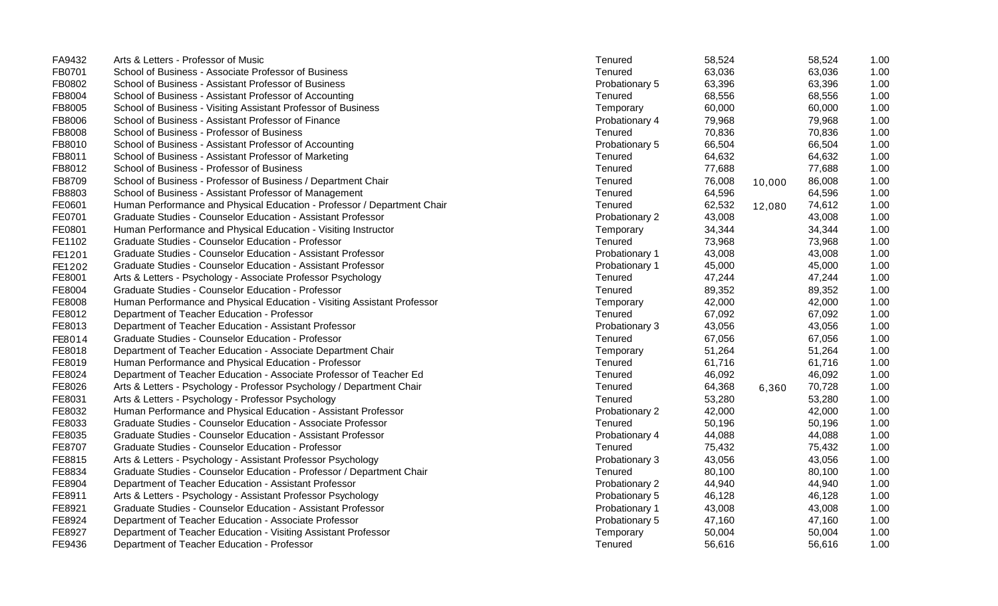| FA9432 | Arts & Letters - Professor of Music                                     | Tenured        | 58,524 |        | 58,524 | 1.00 |
|--------|-------------------------------------------------------------------------|----------------|--------|--------|--------|------|
| FB0701 | School of Business - Associate Professor of Business                    | Tenured        | 63,036 |        | 63,036 | 1.00 |
| FB0802 | School of Business - Assistant Professor of Business                    | Probationary 5 | 63,396 |        | 63,396 | 1.00 |
| FB8004 | School of Business - Assistant Professor of Accounting                  | Tenured        | 68,556 |        | 68,556 | 1.00 |
| FB8005 | School of Business - Visiting Assistant Professor of Business           | Temporary      | 60,000 |        | 60,000 | 1.00 |
| FB8006 | School of Business - Assistant Professor of Finance                     | Probationary 4 | 79,968 |        | 79,968 | 1.00 |
| FB8008 | School of Business - Professor of Business                              | Tenured        | 70,836 |        | 70,836 | 1.00 |
| FB8010 | School of Business - Assistant Professor of Accounting                  | Probationary 5 | 66,504 |        | 66,504 | 1.00 |
| FB8011 | School of Business - Assistant Professor of Marketing                   | Tenured        | 64,632 |        | 64,632 | 1.00 |
| FB8012 | School of Business - Professor of Business                              | Tenured        | 77,688 |        | 77,688 | 1.00 |
| FB8709 | School of Business - Professor of Business / Department Chair           | Tenured        | 76,008 | 10,000 | 86,008 | 1.00 |
| FB8803 | School of Business - Assistant Professor of Management                  | Tenured        | 64,596 |        | 64,596 | 1.00 |
| FE0601 | Human Performance and Physical Education - Professor / Department Chair | Tenured        | 62,532 | 12,080 | 74,612 | 1.00 |
| FE0701 | Graduate Studies - Counselor Education - Assistant Professor            | Probationary 2 | 43,008 |        | 43,008 | 1.00 |
| FE0801 | Human Performance and Physical Education - Visiting Instructor          | Temporary      | 34,344 |        | 34,344 | 1.00 |
| FE1102 | Graduate Studies - Counselor Education - Professor                      | Tenured        | 73,968 |        | 73,968 | 1.00 |
| FE1201 | Graduate Studies - Counselor Education - Assistant Professor            | Probationary 1 | 43,008 |        | 43,008 | 1.00 |
| FE1202 | Graduate Studies - Counselor Education - Assistant Professor            | Probationary 1 | 45,000 |        | 45,000 | 1.00 |
| FE8001 | Arts & Letters - Psychology - Associate Professor Psychology            | Tenured        | 47,244 |        | 47,244 | 1.00 |
| FE8004 | Graduate Studies - Counselor Education - Professor                      | Tenured        | 89,352 |        | 89,352 | 1.00 |
| FE8008 | Human Performance and Physical Education - Visiting Assistant Professor | Temporary      | 42,000 |        | 42,000 | 1.00 |
| FE8012 | Department of Teacher Education - Professor                             | Tenured        | 67,092 |        | 67,092 | 1.00 |
| FE8013 | Department of Teacher Education - Assistant Professor                   | Probationary 3 | 43,056 |        | 43,056 | 1.00 |
| FE8014 | Graduate Studies - Counselor Education - Professor                      | Tenured        | 67,056 |        | 67,056 | 1.00 |
| FE8018 | Department of Teacher Education - Associate Department Chair            | Temporary      | 51,264 |        | 51,264 | 1.00 |
| FE8019 | Human Performance and Physical Education - Professor                    | Tenured        | 61,716 |        | 61,716 | 1.00 |
| FE8024 | Department of Teacher Education - Associate Professor of Teacher Ed     | Tenured        | 46,092 |        | 46,092 | 1.00 |
| FE8026 | Arts & Letters - Psychology - Professor Psychology / Department Chair   | Tenured        | 64,368 | 6,360  | 70,728 | 1.00 |
| FE8031 | Arts & Letters - Psychology - Professor Psychology                      | Tenured        | 53,280 |        | 53,280 | 1.00 |
| FE8032 | Human Performance and Physical Education - Assistant Professor          | Probationary 2 | 42,000 |        | 42,000 | 1.00 |
| FE8033 | Graduate Studies - Counselor Education - Associate Professor            | Tenured        | 50,196 |        | 50,196 | 1.00 |
| FE8035 | Graduate Studies - Counselor Education - Assistant Professor            | Probationary 4 | 44,088 |        | 44,088 | 1.00 |
| FE8707 | Graduate Studies - Counselor Education - Professor                      | Tenured        | 75,432 |        | 75,432 | 1.00 |
| FE8815 | Arts & Letters - Psychology - Assistant Professor Psychology            | Probationary 3 | 43,056 |        | 43,056 | 1.00 |
| FE8834 | Graduate Studies - Counselor Education - Professor / Department Chair   | Tenured        | 80,100 |        | 80,100 | 1.00 |
| FE8904 | Department of Teacher Education - Assistant Professor                   | Probationary 2 | 44,940 |        | 44,940 | 1.00 |
| FE8911 | Arts & Letters - Psychology - Assistant Professor Psychology            | Probationary 5 | 46,128 |        | 46,128 | 1.00 |
| FE8921 | Graduate Studies - Counselor Education - Assistant Professor            | Probationary 1 | 43,008 |        | 43,008 | 1.00 |
| FE8924 | Department of Teacher Education - Associate Professor                   | Probationary 5 | 47,160 |        | 47,160 | 1.00 |
| FE8927 | Department of Teacher Education - Visiting Assistant Professor          | Temporary      | 50,004 |        | 50,004 | 1.00 |
| FE9436 | Department of Teacher Education - Professor                             | Tenured        | 56,616 |        | 56,616 | 1.00 |